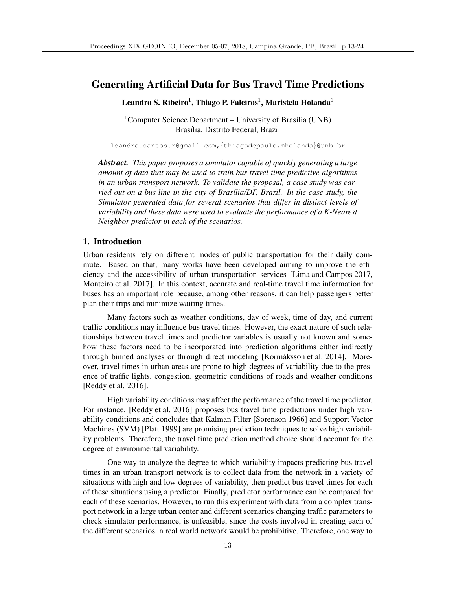# Generating Artificial Data for Bus Travel Time Predictions

Leandro S. Ribeiro<sup>1</sup>, Thiago P. Faleiros<sup>1</sup>, Maristela Holanda<sup>1</sup>

<sup>1</sup>Computer Science Department – University of Brasilia (UNB) Brasília, Distrito Federal, Brazil

leandro.santos.r@gmail.com,*{*thiagodepaulo,mholanda*}*@unb.br

*Abstract. This paper proposes a simulator capable of quickly generating a large amount of data that may be used to train bus travel time predictive algorithms in an urban transport network. To validate the proposal, a case study was car*ried out on a bus line in the city of Brasília/DF, Brazil. In the case study, the *Simulator generated data for several scenarios that differ in distinct levels of variability and these data were used to evaluate the performance of a K-Nearest Neighbor predictor in each of the scenarios.*

## 1. Introduction

Urban residents rely on different modes of public transportation for their daily commute. Based on that, many works have been developed aiming to improve the efficiency and the accessibility of urban transportation services [Lima and Campos 2017, Monteiro et al. 2017]. In this context, accurate and real-time travel time information for buses has an important role because, among other reasons, it can help passengers better plan their trips and minimize waiting times.

Many factors such as weather conditions, day of week, time of day, and current traffic conditions may influence bus travel times. However, the exact nature of such relationships between travel times and predictor variables is usually not known and somehow these factors need to be incorporated into prediction algorithms either indirectly through binned analyses or through direct modeling [Kormáksson et al. 2014]. Moreover, travel times in urban areas are prone to high degrees of variability due to the presence of traffic lights, congestion, geometric conditions of roads and weather conditions [Reddy et al. 2016].

High variability conditions may affect the performance of the travel time predictor. For instance, [Reddy et al. 2016] proposes bus travel time predictions under high variability conditions and concludes that Kalman Filter [Sorenson 1966] and Support Vector Machines (SVM) [Platt 1999] are promising prediction techniques to solve high variability problems. Therefore, the travel time prediction method choice should account for the degree of environmental variability.

One way to analyze the degree to which variability impacts predicting bus travel times in an urban transport network is to collect data from the network in a variety of situations with high and low degrees of variability, then predict bus travel times for each of these situations using a predictor. Finally, predictor performance can be compared for each of these scenarios. However, to run this experiment with data from a complex transport network in a large urban center and different scenarios changing traffic parameters to check simulator performance, is unfeasible, since the costs involved in creating each of the different scenarios in real world network would be prohibitive. Therefore, one way to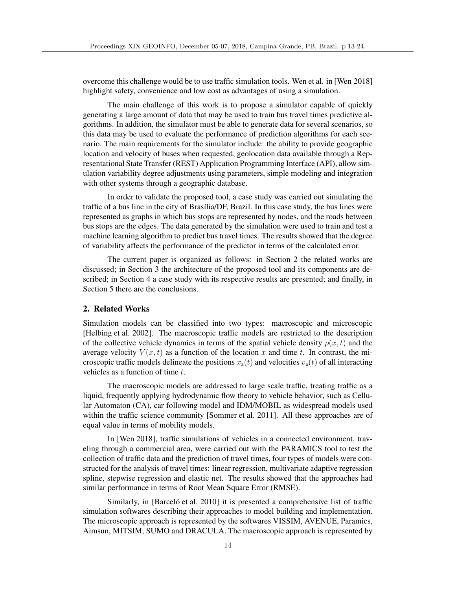overcome this challenge would be to use traffic simulation tools. Wen et al. in [Wen 2018] highlight safety, convenience and low cost as advantages of using a simulation.

The main challenge of this work is to propose a simulator capable of quickly generating a large amount of data that may be used to train bus travel times predictive algorithms. In addition, the simulator must be able to generate data for several scenarios, so this data may be used to evaluate the performance of prediction algorithms for each scenario. The main requirements for the simulator include: the ability to provide geographic location and velocity of buses when requested, geolocation data available through a Representational State Transfer (REST) Application Programming Interface (API), allow simulation variability degree adjustments using parameters, simple modeling and integration with other systems through a geographic database.

In order to validate the proposed tool, a case study was carried out simulating the traffic of a bus line in the city of Brasília/DF, Brazil. In this case study, the bus lines were represented as graphs in which bus stops are represented by nodes, and the roads between bus stops are the edges. The data generated by the simulation were used to train and test a machine learning algorithm to predict bus travel times. The results showed that the degree of variability affects the performance of the predictor in terms of the calculated error.

The current paper is organized as follows: in Section 2 the related works are discussed; in Section 3 the architecture of the proposed tool and its components are described; in Section 4 a case study with its respective results are presented; and finally, in Section 5 there are the conclusions.

## 2. Related Works

Simulation models can be classified into two types: macroscopic and microscopic [Helbing et al. 2002]. The macroscopic traffic models are restricted to the description of the collective vehicle dynamics in terms of the spatial vehicle density  $\rho(x, t)$  and the average velocity  $V(x, t)$  as a function of the location x and time t. In contrast, the microscopic traffic models delineate the positions  $x_a(t)$  and velocities  $v_a(t)$  of all interacting vehicles as a function of time *t*.

The macroscopic models are addressed to large scale traffic, treating traffic as a liquid, frequently applying hydrodynamic flow theory to vehicle behavior, such as Cellular Automaton (CA), car following model and IDM/MOBIL as widespread models used within the traffic science community [Sommer et al. 2011]. All these approaches are of equal value in terms of mobility models.

In [Wen 2018], traffic simulations of vehicles in a connected environment, traveling through a commercial area, were carried out with the PARAMICS tool to test the collection of traffic data and the prediction of travel times, four types of models were constructed for the analysis of travel times: linear regression, multivariate adaptive regression spline, stepwise regression and elastic net. The results showed that the approaches had similar performance in terms of Root Mean Square Error (RMSE).

Similarly, in [Barcelo et al. 2010] it is presented a comprehensive list of traffic simulation softwares describing their approaches to model building and implementation. The microscopic approach is represented by the softwares VISSIM, AVENUE, Paramics, Aimsun, MITSIM, SUMO and DRACULA. The macroscopic approach is represented by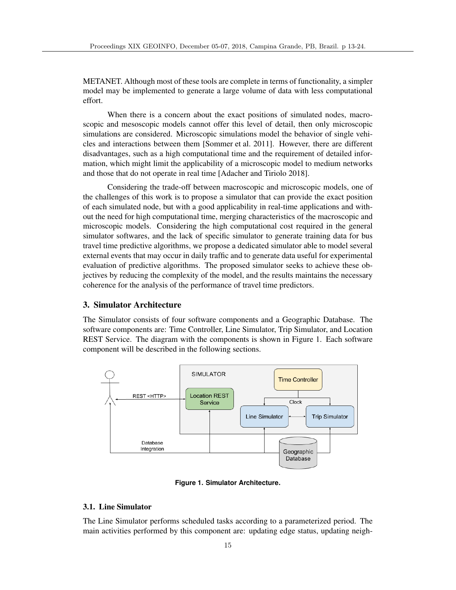METANET. Although most of these tools are complete in terms of functionality, a simpler model may be implemented to generate a large volume of data with less computational effort.

When there is a concern about the exact positions of simulated nodes, macroscopic and mesoscopic models cannot offer this level of detail, then only microscopic simulations are considered. Microscopic simulations model the behavior of single vehicles and interactions between them [Sommer et al. 2011]. However, there are different disadvantages, such as a high computational time and the requirement of detailed information, which might limit the applicability of a microscopic model to medium networks and those that do not operate in real time [Adacher and Tiriolo 2018].

Considering the trade-off between macroscopic and microscopic models, one of the challenges of this work is to propose a simulator that can provide the exact position of each simulated node, but with a good applicability in real-time applications and without the need for high computational time, merging characteristics of the macroscopic and microscopic models. Considering the high computational cost required in the general simulator softwares, and the lack of specific simulator to generate training data for bus travel time predictive algorithms, we propose a dedicated simulator able to model several external events that may occur in daily traffic and to generate data useful for experimental evaluation of predictive algorithms. The proposed simulator seeks to achieve these objectives by reducing the complexity of the model, and the results maintains the necessary coherence for the analysis of the performance of travel time predictors.

#### 3. Simulator Architecture

The Simulator consists of four software components and a Geographic Database. The software components are: Time Controller, Line Simulator, Trip Simulator, and Location REST Service. The diagram with the components is shown in Figure 1. Each software component will be described in the following sections.



**Figure 1. Simulator Architecture.**

#### 3.1. Line Simulator

The Line Simulator performs scheduled tasks according to a parameterized period. The main activities performed by this component are: updating edge status, updating neigh-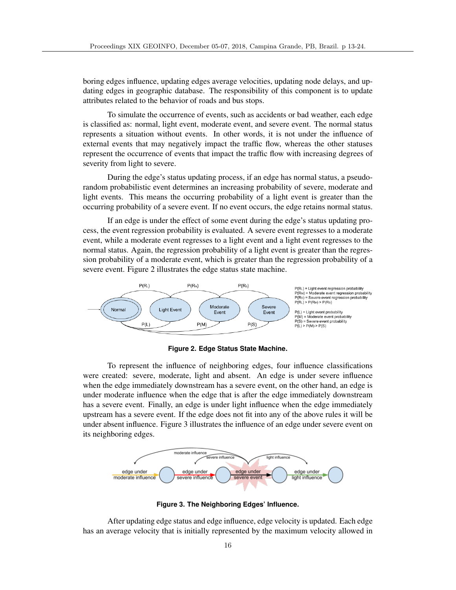boring edges influence, updating edges average velocities, updating node delays, and updating edges in geographic database. The responsibility of this component is to update attributes related to the behavior of roads and bus stops.

To simulate the occurrence of events, such as accidents or bad weather, each edge is classified as: normal, light event, moderate event, and severe event. The normal status represents a situation without events. In other words, it is not under the influence of external events that may negatively impact the traffic flow, whereas the other statuses represent the occurrence of events that impact the traffic flow with increasing degrees of severity from light to severe.

During the edge's status updating process, if an edge has normal status, a pseudorandom probabilistic event determines an increasing probability of severe, moderate and light events. This means the occurring probability of a light event is greater than the occurring probability of a severe event. If no event occurs, the edge retains normal status.

If an edge is under the effect of some event during the edge's status updating process, the event regression probability is evaluated. A severe event regresses to a moderate event, while a moderate event regresses to a light event and a light event regresses to the normal status. Again, the regression probability of a light event is greater than the regression probability of a moderate event, which is greater than the regression probability of a severe event. Figure 2 illustrates the edge status state machine.



#### **Figure 2. Edge Status State Machine.**

To represent the influence of neighboring edges, four influence classifications were created: severe, moderate, light and absent. An edge is under severe influence when the edge immediately downstream has a severe event, on the other hand, an edge is under moderate influence when the edge that is after the edge immediately downstream has a severe event. Finally, an edge is under light influence when the edge immediately upstream has a severe event. If the edge does not fit into any of the above rules it will be under absent influence. Figure 3 illustrates the influence of an edge under severe event on its neighboring edges.



**Figure 3. The Neighboring Edges' Influence.**

After updating edge status and edge influence, edge velocity is updated. Each edge has an average velocity that is initially represented by the maximum velocity allowed in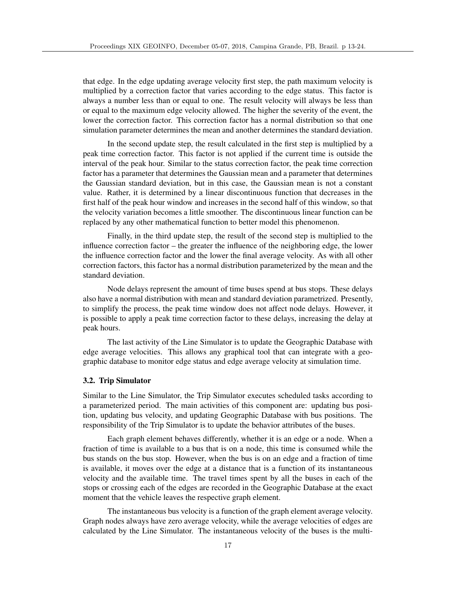that edge. In the edge updating average velocity first step, the path maximum velocity is multiplied by a correction factor that varies according to the edge status. This factor is always a number less than or equal to one. The result velocity will always be less than or equal to the maximum edge velocity allowed. The higher the severity of the event, the lower the correction factor. This correction factor has a normal distribution so that one simulation parameter determines the mean and another determines the standard deviation.

In the second update step, the result calculated in the first step is multiplied by a peak time correction factor. This factor is not applied if the current time is outside the interval of the peak hour. Similar to the status correction factor, the peak time correction factor has a parameter that determines the Gaussian mean and a parameter that determines the Gaussian standard deviation, but in this case, the Gaussian mean is not a constant value. Rather, it is determined by a linear discontinuous function that decreases in the first half of the peak hour window and increases in the second half of this window, so that the velocity variation becomes a little smoother. The discontinuous linear function can be replaced by any other mathematical function to better model this phenomenon.

Finally, in the third update step, the result of the second step is multiplied to the influence correction factor – the greater the influence of the neighboring edge, the lower the influence correction factor and the lower the final average velocity. As with all other correction factors, this factor has a normal distribution parameterized by the mean and the standard deviation.

Node delays represent the amount of time buses spend at bus stops. These delays also have a normal distribution with mean and standard deviation parametrized. Presently, to simplify the process, the peak time window does not affect node delays. However, it is possible to apply a peak time correction factor to these delays, increasing the delay at peak hours.

The last activity of the Line Simulator is to update the Geographic Database with edge average velocities. This allows any graphical tool that can integrate with a geographic database to monitor edge status and edge average velocity at simulation time.

### 3.2. Trip Simulator

Similar to the Line Simulator, the Trip Simulator executes scheduled tasks according to a parameterized period. The main activities of this component are: updating bus position, updating bus velocity, and updating Geographic Database with bus positions. The responsibility of the Trip Simulator is to update the behavior attributes of the buses.

Each graph element behaves differently, whether it is an edge or a node. When a fraction of time is available to a bus that is on a node, this time is consumed while the bus stands on the bus stop. However, when the bus is on an edge and a fraction of time is available, it moves over the edge at a distance that is a function of its instantaneous velocity and the available time. The travel times spent by all the buses in each of the stops or crossing each of the edges are recorded in the Geographic Database at the exact moment that the vehicle leaves the respective graph element.

The instantaneous bus velocity is a function of the graph element average velocity. Graph nodes always have zero average velocity, while the average velocities of edges are calculated by the Line Simulator. The instantaneous velocity of the buses is the multi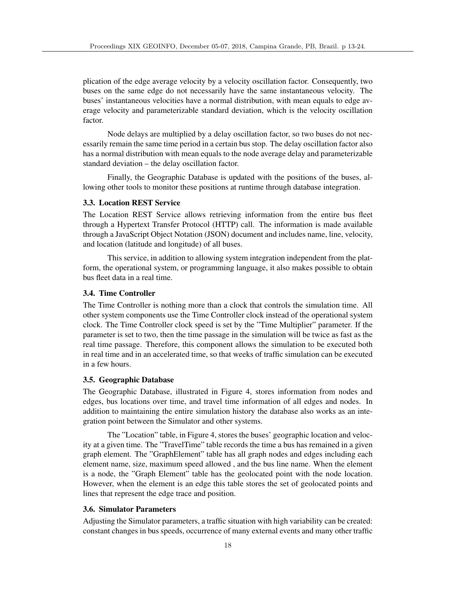plication of the edge average velocity by a velocity oscillation factor. Consequently, two buses on the same edge do not necessarily have the same instantaneous velocity. The buses' instantaneous velocities have a normal distribution, with mean equals to edge average velocity and parameterizable standard deviation, which is the velocity oscillation factor.

Node delays are multiplied by a delay oscillation factor, so two buses do not necessarily remain the same time period in a certain bus stop. The delay oscillation factor also has a normal distribution with mean equals to the node average delay and parameterizable standard deviation – the delay oscillation factor.

Finally, the Geographic Database is updated with the positions of the buses, allowing other tools to monitor these positions at runtime through database integration.

# 3.3. Location REST Service

The Location REST Service allows retrieving information from the entire bus fleet through a Hypertext Transfer Protocol (HTTP) call. The information is made available through a JavaScript Object Notation (JSON) document and includes name, line, velocity, and location (latitude and longitude) of all buses.

This service, in addition to allowing system integration independent from the platform, the operational system, or programming language, it also makes possible to obtain bus fleet data in a real time.

## 3.4. Time Controller

The Time Controller is nothing more than a clock that controls the simulation time. All other system components use the Time Controller clock instead of the operational system clock. The Time Controller clock speed is set by the "Time Multiplier" parameter. If the parameter is set to two, then the time passage in the simulation will be twice as fast as the real time passage. Therefore, this component allows the simulation to be executed both in real time and in an accelerated time, so that weeks of traffic simulation can be executed in a few hours.

#### 3.5. Geographic Database

The Geographic Database, illustrated in Figure 4, stores information from nodes and edges, bus locations over time, and travel time information of all edges and nodes. In addition to maintaining the entire simulation history the database also works as an integration point between the Simulator and other systems.

The "Location" table, in Figure 4, stores the buses' geographic location and velocity at a given time. The "TravelTime" table records the time a bus has remained in a given graph element. The "GraphElement" table has all graph nodes and edges including each element name, size, maximum speed allowed , and the bus line name. When the element is a node, the "Graph Element" table has the geolocated point with the node location. However, when the element is an edge this table stores the set of geolocated points and lines that represent the edge trace and position.

#### 3.6. Simulator Parameters

Adjusting the Simulator parameters, a traffic situation with high variability can be created: constant changes in bus speeds, occurrence of many external events and many other traffic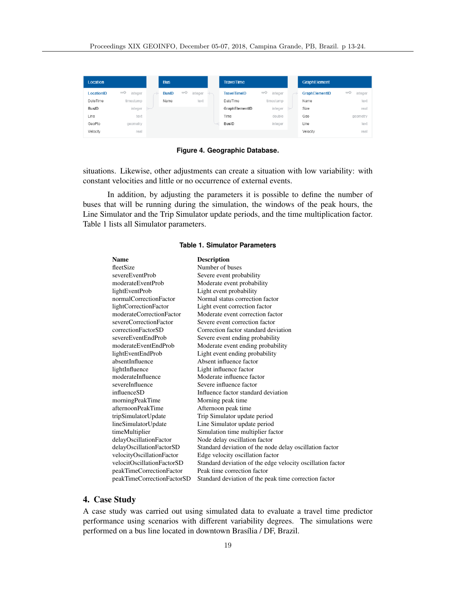| Location   |                    |        | <b>Bus</b>   |         |         | <b>TravelTime</b>   |                    | <b>GraphElement</b> |                    |
|------------|--------------------|--------|--------------|---------|---------|---------------------|--------------------|---------------------|--------------------|
| LocationID | $\pi$ 0<br>integer |        | <b>BusID</b> | $\pi$ 0 | integer | <b>TravelTimeID</b> | $\pi$ 0<br>integer | GraphElementID      | $\pi$ 0<br>integer |
| DateTime   | timestamp          |        | Name         |         | text    | DateTime            | timestamp          | Name                | text               |
| BusID      | integer            | $\sim$ |              |         |         | GraphElementID      | integer            | Size                | real               |
| Line       | text               |        |              |         |         | Time                | double             | Geo                 | geometry           |
| GeoPto     | geometry           |        |              |         |         | <b>BusID</b>        | integer            | Line                | text               |
| Velocity   | real               |        |              |         |         |                     |                    | Velocity            | real               |

**Figure 4. Geographic Database.**

situations. Likewise, other adjustments can create a situation with low variability: with constant velocities and little or no occurrence of external events.

In addition, by adjusting the parameters it is possible to define the number of buses that will be running during the simulation, the windows of the peak hours, the Line Simulator and the Trip Simulator update periods, and the time multiplication factor. Table 1 lists all Simulator parameters.

#### **Table 1. Simulator Parameters**

| <b>Name</b>                | <b>Description</b>                                         |
|----------------------------|------------------------------------------------------------|
| fleetSize                  | Number of buses                                            |
| severeEventProb            | Severe event probability                                   |
| moderateEventProb          | Moderate event probability                                 |
| lightEventProb             | Light event probability                                    |
| normalCorrectionFactor     | Normal status correction factor                            |
| lightCorrectionFactor      | Light event correction factor                              |
| moderateCorrectionFactor   | Moderate event correction factor                           |
| severeCorrectionFactor     | Severe event correction factor                             |
| correctionFactorSD         | Correction factor standard deviation                       |
| severeEventEndProb         | Severe event ending probability                            |
| moderateEventEndProb       | Moderate event ending probability                          |
| lightEventEndProb          | Light event ending probability                             |
| absentInfluence            | Absent influence factor                                    |
| lightInfluence             | Light influence factor                                     |
| moderateInfluence          | Moderate influence factor                                  |
| severeInfluence            | Severe influence factor                                    |
| influenceSD                | Influence factor standard deviation                        |
| morningPeakTime            | Morning peak time.                                         |
| afternoonPeakTime          | Afternoon peak time                                        |
| tripSimulatorUpdate        | Trip Simulator update period                               |
| lineSimulatorUpdate        | Line Simulator update period                               |
| timeMultiplier             | Simulation time multiplier factor                          |
| delayOscillationFactor     | Node delay oscillation factor                              |
| delayOscillationFactorSD   | Standard deviation of the node delay oscillation factor    |
| velocityOscillationFactor  | Edge velocity oscillation factor                           |
| velocitOscillationFactorSD | Standard deviation of the edge velocity oscillation factor |
| peakTimeCorrectionFactor   | Peak time correction factor                                |
| peakTimeCorrectionFactorSD | Standard deviation of the peak time correction factor      |
|                            |                                                            |

# 4. Case Study

A case study was carried out using simulated data to evaluate a travel time predictor performance using scenarios with different variability degrees. The simulations were performed on a bus line located in downtown Brasília / DF, Brazil.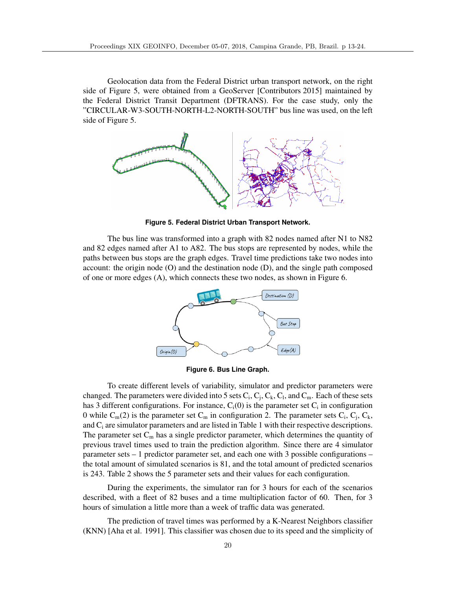Geolocation data from the Federal District urban transport network, on the right side of Figure 5, were obtained from a GeoServer [Contributors 2015] maintained by the Federal District Transit Department (DFTRANS). For the case study, only the "CIRCULAR-W3-SOUTH-NORTH-L2-NORTH-SOUTH" bus line was used, on the left side of Figure 5.



**Figure 5. Federal District Urban Transport Network.**

The bus line was transformed into a graph with 82 nodes named after N1 to N82 and 82 edges named after A1 to A82. The bus stops are represented by nodes, while the paths between bus stops are the graph edges. Travel time predictions take two nodes into account: the origin node (O) and the destination node (D), and the single path composed of one or more edges (A), which connects these two nodes, as shown in Figure 6.



**Figure 6. Bus Line Graph.**

To create different levels of variability, simulator and predictor parameters were changed. The parameters were divided into 5 sets  $C_i$ ,  $C_i$ ,  $C_k$ ,  $C_l$ , and  $C_m$ . Each of these sets has 3 different configurations. For instance,  $C_i(0)$  is the parameter set  $C_i$  in configuration 0 while  $C_m(2)$  is the parameter set  $C_m$  in configuration 2. The parameter sets  $C_i$ ,  $C_j$ ,  $C_k$ , and Ci are simulator parameters and are listed in Table 1 with their respective descriptions. The parameter set  $C_m$  has a single predictor parameter, which determines the quantity of previous travel times used to train the prediction algorithm. Since there are 4 simulator parameter sets – 1 predictor parameter set, and each one with 3 possible configurations – the total amount of simulated scenarios is 81, and the total amount of predicted scenarios is 243. Table 2 shows the 5 parameter sets and their values for each configuration.

During the experiments, the simulator ran for 3 hours for each of the scenarios described, with a fleet of 82 buses and a time multiplication factor of 60. Then, for 3 hours of simulation a little more than a week of traffic data was generated.

The prediction of travel times was performed by a K-Nearest Neighbors classifier (KNN) [Aha et al. 1991]. This classifier was chosen due to its speed and the simplicity of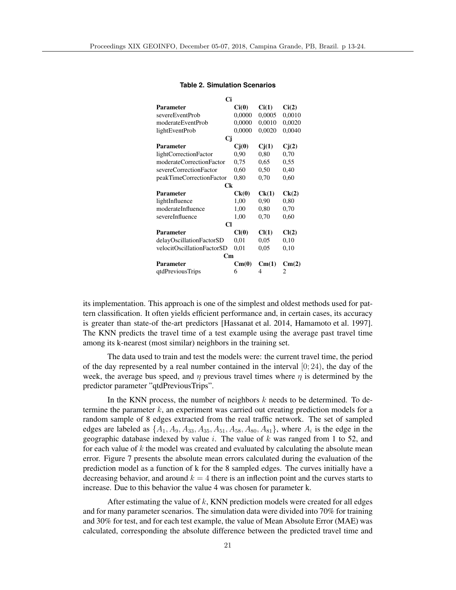| Ci                         |        |        |        |  |  |  |  |  |
|----------------------------|--------|--------|--------|--|--|--|--|--|
| Parameter                  | Ci(0)  | Ci(1)  | Ci(2)  |  |  |  |  |  |
| severeEventProb            | 0,0000 | 0,0005 | 0,0010 |  |  |  |  |  |
| moderateEventProb          | 0,0000 | 0,0010 | 0,0020 |  |  |  |  |  |
| lightEventProb             | 0,0000 | 0,0020 | 0,0040 |  |  |  |  |  |
| Cj                         |        |        |        |  |  |  |  |  |
| <b>Parameter</b>           | Ci(0)  | Ci(1)  | Cj(2)  |  |  |  |  |  |
| lightCorrectionFactor      | 0,90   | 0,80   | 0,70   |  |  |  |  |  |
| moderateCorrectionFactor   | 0.75   | 0.65   | 0.55   |  |  |  |  |  |
| severeCorrectionFactor     | 0,60   | 0,50   | 0,40   |  |  |  |  |  |
| peakTimeCorrectionFactor   | 0,80   | 0,70   | 0,60   |  |  |  |  |  |
| Сk                         |        |        |        |  |  |  |  |  |
| Parameter                  | Ck(0)  | Ck(1)  | Ck(2)  |  |  |  |  |  |
| lightInfluence             | 1,00   | 0,90   | 0,80   |  |  |  |  |  |
| moderateInfluence          | 1,00   | 0,80   | 0,70   |  |  |  |  |  |
| severeInfluence            | 1,00   | 0,70   | 0,60   |  |  |  |  |  |
| <b>Cl</b>                  |        |        |        |  |  |  |  |  |
| <b>Parameter</b>           | Cl(0)  | Cl(1)  | Cl(2)  |  |  |  |  |  |
| delayOscillationFactorSD   | 0.01   | 0.05   | 0,10   |  |  |  |  |  |
| velocitOscillationFactorSD | 0.01   | 0.05   | 0,10   |  |  |  |  |  |
| $\mathbf{C}\mathbf{m}$     |        |        |        |  |  |  |  |  |
| Parameter                  | Cm(0)  | Cm(1)  | Cm(2)  |  |  |  |  |  |
| qtdPreviousTrips           | 6      | 4      | 2      |  |  |  |  |  |

#### **Table 2. Simulation Scenarios**

its implementation. This approach is one of the simplest and oldest methods used for pattern classification. It often yields efficient performance and, in certain cases, its accuracy is greater than state-of the-art predictors [Hassanat et al. 2014, Hamamoto et al. 1997]. The KNN predicts the travel time of a test example using the average past travel time among its k-nearest (most similar) neighbors in the training set.

The data used to train and test the models were: the current travel time, the period of the day represented by a real number contained in the interval  $[0, 24)$ , the day of the week, the average bus speed, and  $\eta$  previous travel times where  $\eta$  is determined by the predictor parameter "qtdPreviousTrips".

In the KNN process, the number of neighbors *k* needs to be determined. To determine the parameter *k*, an experiment was carried out creating prediction models for a random sample of 8 edges extracted from the real traffic network. The set of sampled edges are labeled as  $\{A_1, A_9, A_{33}, A_{35}, A_{51}, A_{58}, A_{80}, A_{81}\}$ , where  $A_i$  is the edge in the geographic database indexed by value *i*. The value of *k* was ranged from 1 to 52, and for each value of *k* the model was created and evaluated by calculating the absolute mean error. Figure 7 presents the absolute mean errors calculated during the evaluation of the prediction model as a function of k for the 8 sampled edges. The curves initially have a decreasing behavior, and around  $k = 4$  there is an inflection point and the curves starts to increase. Due to this behavior the value 4 was chosen for parameter k.

After estimating the value of *k*, KNN prediction models were created for all edges and for many parameter scenarios. The simulation data were divided into 70% for training and 30% for test, and for each test example, the value of Mean Absolute Error (MAE) was calculated, corresponding the absolute difference between the predicted travel time and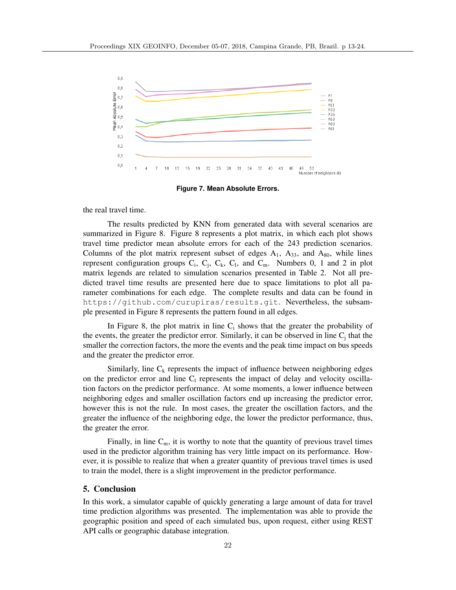

**Figure 7. Mean Absolute Errors.**

the real travel time.

The results predicted by KNN from generated data with several scenarios are summarized in Figure 8. Figure 8 represents a plot matrix, in which each plot shows travel time predictor mean absolute errors for each of the 243 prediction scenarios. Columns of the plot matrix represent subset of edges  $A_1$ ,  $A_{33}$ , and  $A_{80}$ , while lines represent configuration groups  $C_i$ ,  $C_j$ ,  $C_k$ ,  $C_l$ , and  $C_m$ . Numbers 0, 1 and 2 in plot matrix legends are related to simulation scenarios presented in Table 2. Not all predicted travel time results are presented here due to space limitations to plot all parameter combinations for each edge. The complete results and data can be found in https://github.com/curupiras/results.git. Nevertheless, the subsample presented in Figure 8 represents the pattern found in all edges.

In Figure 8, the plot matrix in line  $C_i$  shows that the greater the probability of the events, the greater the predictor error. Similarly, it can be observed in line  $C_i$  that the smaller the correction factors, the more the events and the peak time impact on bus speeds and the greater the predictor error.

Similarly, line  $C_k$  represents the impact of influence between neighboring edges on the predictor error and line  $C_1$  represents the impact of delay and velocity oscillation factors on the predictor performance. At some moments, a lower influence between neighboring edges and smaller oscillation factors end up increasing the predictor error, however this is not the rule. In most cases, the greater the oscillation factors, and the greater the influence of the neighboring edge, the lower the predictor performance, thus, the greater the error.

Finally, in line  $C_m$ , it is worthy to note that the quantity of previous travel times used in the predictor algorithm training has very little impact on its performance. However, it is possible to realize that when a greater quantity of previous travel times is used to train the model, there is a slight improvement in the predictor performance.

## 5. Conclusion

In this work, a simulator capable of quickly generating a large amount of data for travel time prediction algorithms was presented. The implementation was able to provide the geographic position and speed of each simulated bus, upon request, either using REST API calls or geographic database integration.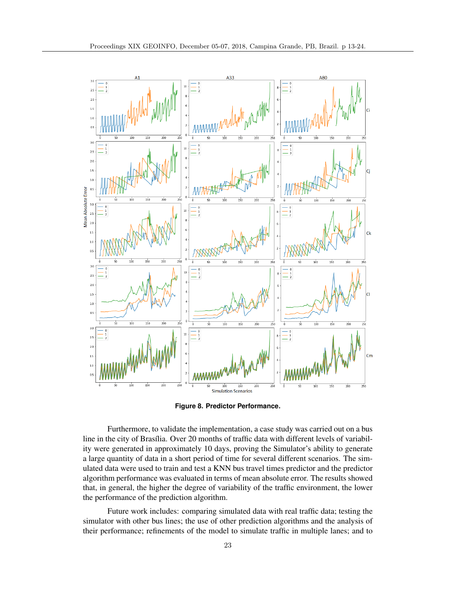

**Figure 8. Predictor Performance.**

Furthermore, to validate the implementation, a case study was carried out on a bus line in the city of Brasília. Over 20 months of traffic data with different levels of variability were generated in approximately 10 days, proving the Simulator's ability to generate a large quantity of data in a short period of time for several different scenarios. The simulated data were used to train and test a KNN bus travel times predictor and the predictor algorithm performance was evaluated in terms of mean absolute error. The results showed that, in general, the higher the degree of variability of the traffic environment, the lower the performance of the prediction algorithm.

Future work includes: comparing simulated data with real traffic data; testing the simulator with other bus lines; the use of other prediction algorithms and the analysis of their performance; refinements of the model to simulate traffic in multiple lanes; and to